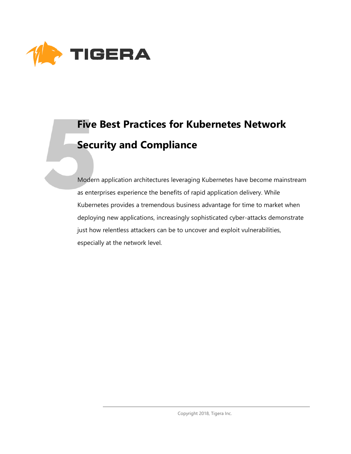

# **Five Best Practices for Kubernetes Network Security and Compliance**

Modern application architectures leveraging Kubernetes have become mainstream as enterprises experience the benefits of rapid application delivery. While Kubernetes provides a tremendous business advantage for time to market when deploying new applications, increasingly sophisticated cyber-attacks demonstrate just how relentless attackers can be to uncover and exploit vulnerabilities, especially at the network level.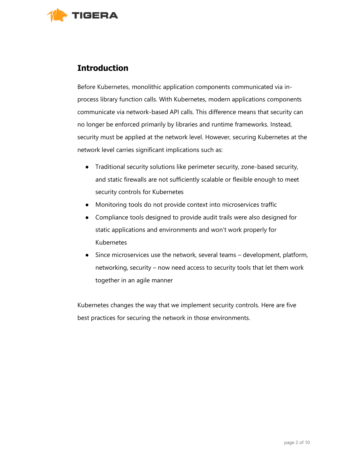

# **Introduction**

Before Kubernetes, monolithic application components communicated via inprocess library function calls. With Kubernetes, modern applications components communicate via network-based API calls. This difference means that security can no longer be enforced primarily by libraries and runtime frameworks. Instead, security must be applied at the network level. However, securing Kubernetes at the network level carries significant implications such as:

- Traditional security solutions like perimeter security, zone-based security, and static firewalls are not sufficiently scalable or flexible enough to meet security controls for Kubernetes
- Monitoring tools do not provide context into microservices traffic
- Compliance tools designed to provide audit trails were also designed for static applications and environments and won't work properly for Kubernetes
- Since microservices use the network, several teams development, platform, networking, security – now need access to security tools that let them work together in an agile manner

Kubernetes changes the way that we implement security controls. Here are five best practices for securing the network in those environments.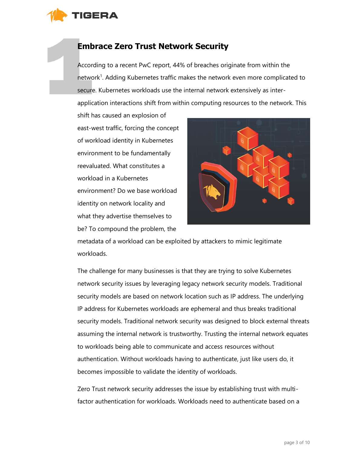

# **Embrace Zero Trust Network Security**

According to a recent PwC report, 44% of breaches originate from within the network<sup>1</sup>. Adding Kubernetes traffic makes the network even more complicated to secure. Kubernetes workloads use the internal network extensively as interapplication interactions shift from within computing resources to the network. This

shift has caused an explosion of east-west traffic, forcing the concept of workload identity in Kubernetes environment to be fundamentally reevaluated. What constitutes a workload in a Kubernetes environment? Do we base workload identity on network locality and what they advertise themselves to be? To compound the problem, the



metadata of a workload can be exploited by attackers to mimic legitimate workloads.

The challenge for many businesses is that they are trying to solve Kubernetes network security issues by leveraging legacy network security models. Traditional security models are based on network location such as IP address. The underlying IP address for Kubernetes workloads are ephemeral and thus breaks traditional security models. Traditional network security was designed to block external threats assuming the internal network is trustworthy. Trusting the internal network equates to workloads being able to communicate and access resources without authentication. Without workloads having to authenticate, just like users do, it becomes impossible to validate the identity of workloads.

Zero Trust network security addresses the issue by establishing trust with multifactor authentication for workloads. Workloads need to authenticate based on a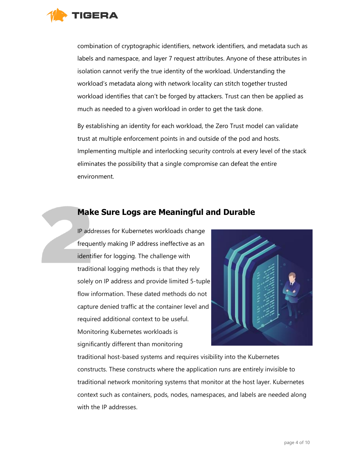

combination of cryptographic identifiers, network identifiers, and metadata such as labels and namespace, and layer 7 request attributes. Anyone of these attributes in isolation cannot verify the true identity of the workload. Understanding the workload's metadata along with network locality can stitch together trusted workload identifies that can't be forged by attackers. Trust can then be applied as much as needed to a given workload in order to get the task done.

By establishing an identity for each workload, the Zero Trust model can validate trust at multiple enforcement points in and outside of the pod and hosts. Implementing multiple and interlocking security controls at every level of the stack eliminates the possibility that a single compromise can defeat the entire environment.

#### **Make Sure Logs are Meaningful and Durable**

IP addresses for Kubernetes workloads change frequently making IP address ineffective as an identifier for logging. The challenge with traditional logging methods is that they rely solely on IP address and provide limited 5-tuple flow information. These dated methods do not capture denied traffic at the container level and required additional context to be useful. Monitoring Kubernetes workloads is significantly different than monitoring



traditional host-based systems and requires visibility into the Kubernetes constructs. These constructs where the application runs are entirely invisible to traditional network monitoring systems that monitor at the host layer. Kubernetes context such as containers, pods, nodes, namespaces, and labels are needed along with the IP addresses.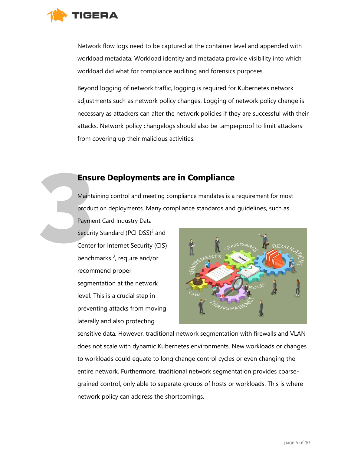

Network flow logs need to be captured at the container level and appended with workload metadata. Workload identity and metadata provide visibility into which workload did what for compliance auditing and forensics purposes.

Beyond logging of network traffic, logging is required for Kubernetes network adjustments such as network policy changes. Logging of network policy change is necessary as attackers can alter the network policies if they are successful with their attacks. Network policy changelogs should also be tamperproof to limit attackers from covering up their malicious activities.

#### **Ensure Deployments are in Compliance**

Maintaining control and meeting compliance mandates is a requirement for most production deployments. Many compliance standards and guidelines, such as Payment Card Industry Data

Security Standard (PCI DSS)<sup>2</sup> and Center for Internet Security (CIS) benchmarks<sup>3</sup>, require and/or recommend proper segmentation at the network level. This is a crucial step in preventing attacks from moving laterally and also protecting



sensitive data. However, traditional network segmentation with firewalls and VLAN does not scale with dynamic Kubernetes environments. New workloads or changes to workloads could equate to long change control cycles or even changing the entire network. Furthermore, traditional network segmentation provides coarsegrained control, only able to separate groups of hosts or workloads. This is where network policy can address the shortcomings.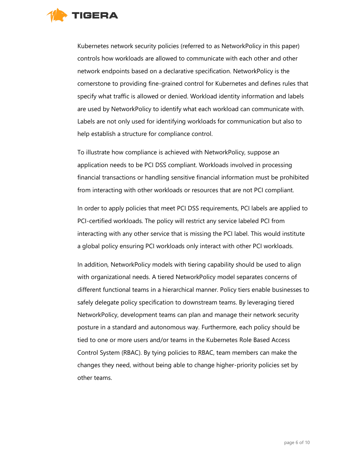

Kubernetes network security policies (referred to as NetworkPolicy in this paper) controls how workloads are allowed to communicate with each other and other network endpoints based on a declarative specification. NetworkPolicy is the cornerstone to providing fine-grained control for Kubernetes and defines rules that specify what traffic is allowed or denied. Workload identity information and labels are used by NetworkPolicy to identify what each workload can communicate with. Labels are not only used for identifying workloads for communication but also to help establish a structure for compliance control.

To illustrate how compliance is achieved with NetworkPolicy, suppose an application needs to be PCI DSS compliant. Workloads involved in processing financial transactions or handling sensitive financial information must be prohibited from interacting with other workloads or resources that are not PCI compliant.

In order to apply policies that meet PCI DSS requirements, PCI labels are applied to PCI-certified workloads. The policy will restrict any service labeled PCI from interacting with any other service that is missing the PCI label. This would institute a global policy ensuring PCI workloads only interact with other PCI workloads.

In addition, NetworkPolicy models with tiering capability should be used to align with organizational needs. A tiered NetworkPolicy model separates concerns of different functional teams in a hierarchical manner. Policy tiers enable businesses to safely delegate policy specification to downstream teams. By leveraging tiered NetworkPolicy, development teams can plan and manage their network security posture in a standard and autonomous way. Furthermore, each policy should be tied to one or more users and/or teams in the Kubernetes Role Based Access Control System (RBAC). By tying policies to RBAC, team members can make the changes they need, without being able to change higher-priority policies set by other teams.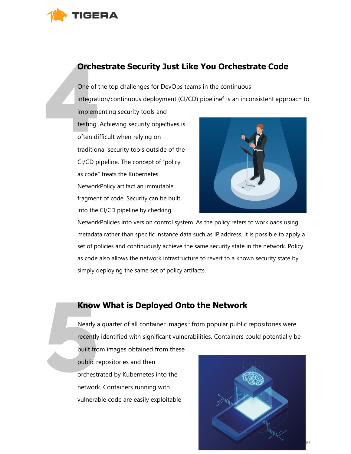

# **Orchestrate Security Just Like You Orchestrate Code**

One of the top challenges for DevOps teams in the continuous  $interrelation/continuous$  deployment (CI/CD) pipeline<sup>4</sup> is an inconsistent approach to implementing security tools and testing. Achieving security objectives is

often difficult when relying on traditional security tools outside of the CI/CD pipeline. The concept of "policy as code" treats the Kubernetes NetworkPolicy artifact an immutable fragment of code. Security can be built into the CI/CD pipeline by checking



NetworkPolicies into version control system. As the policy refers to workloads using metadata rather than specific instance data such as IP address, it is possible to apply a set of policies and continuously achieve the same security state in the network. Policy as code also allows the network infrastructure to revert to a known security state by simply deploying the same set of policy artifacts.

# **Know What is Deployed Onto the Network**

Nearly a quarter of all container images<sup>5</sup> from popular public repositories were recently identified with significant vulnerabilities. Containers could potentially be

built from images obtained from these public repositories and then orchestrated by Kubernetes into the network. Containers running with vulnerable code are easily exploitable

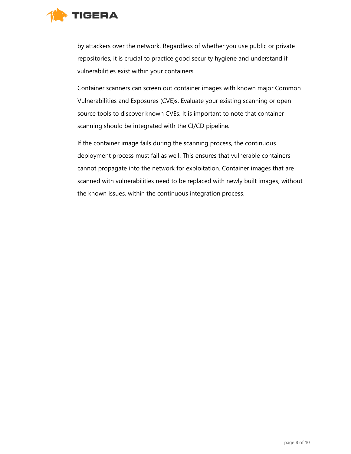

by attackers over the network. Regardless of whether you use public or private repositories, it is crucial to practice good security hygiene and understand if vulnerabilities exist within your containers.

Container scanners can screen out container images with known major Common Vulnerabilities and Exposures (CVE)s. Evaluate your existing scanning or open source tools to discover known CVEs. It is important to note that container scanning should be integrated with the CI/CD pipeline.

If the container image fails during the scanning process, the continuous deployment process must fail as well. This ensures that vulnerable containers cannot propagate into the network for exploitation. Container images that are scanned with vulnerabilities need to be replaced with newly built images, without the known issues, within the continuous integration process.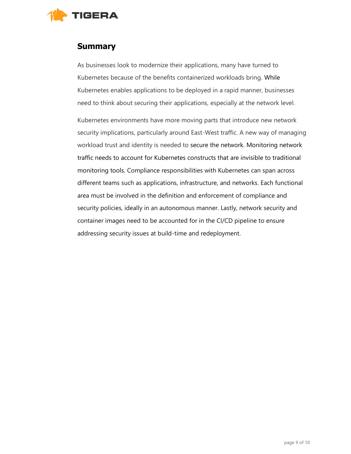

### **Summary**

As businesses look to modernize their applications, many have turned to Kubernetes because of the benefits containerized workloads bring. While Kubernetes enables applications to be deployed in a rapid manner, businesses need to think about securing their applications, especially at the network level.

Kubernetes environments have more moving parts that introduce new network security implications, particularly around East-West traffic. A new way of managing workload trust and identity is needed to secure the network. Monitoring network traffic needs to account for Kubernetes constructs that are invisible to traditional monitoring tools. Compliance responsibilities with Kubernetes can span across different teams such as applications, infrastructure, and networks. Each functional area must be involved in the definition and enforcement of compliance and security policies, ideally in an autonomous manner. Lastly, network security and container images need to be accounted for in the CI/CD pipeline to ensure addressing security issues at build-time and redeployment.